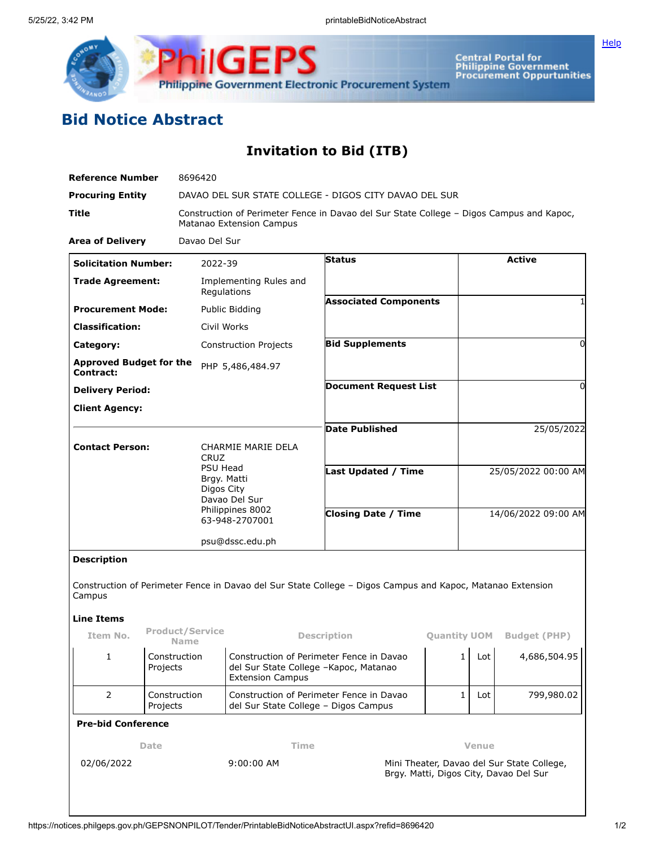

**Central Portal for<br>Philippine Government<br>Procurement Oppurtunities** 

## **Bid Notice Abstract**

## **Invitation to Bid (ITB)**

| Reference Number                                  |                                         | 8696420                                                                                                                                         |                                                                                                              |                                                                                      |                              |              |                     |                                  |  |
|---------------------------------------------------|-----------------------------------------|-------------------------------------------------------------------------------------------------------------------------------------------------|--------------------------------------------------------------------------------------------------------------|--------------------------------------------------------------------------------------|------------------------------|--------------|---------------------|----------------------------------|--|
| <b>Procuring Entity</b>                           |                                         | DAVAO DEL SUR STATE COLLEGE - DIGOS CITY DAVAO DEL SUR                                                                                          |                                                                                                              |                                                                                      |                              |              |                     |                                  |  |
| Title                                             |                                         | Construction of Perimeter Fence in Davao del Sur State College - Digos Campus and Kapoc,<br>Matanao Extension Campus                            |                                                                                                              |                                                                                      |                              |              |                     |                                  |  |
| <b>Area of Delivery</b>                           |                                         | Davao Del Sur                                                                                                                                   |                                                                                                              |                                                                                      |                              |              |                     |                                  |  |
| <b>Solicitation Number:</b>                       |                                         | 2022-39                                                                                                                                         |                                                                                                              | Status                                                                               |                              |              |                     | <b>Active</b>                    |  |
| <b>Trade Agreement:</b>                           |                                         |                                                                                                                                                 | Implementing Rules and<br>Regulations                                                                        |                                                                                      |                              |              |                     |                                  |  |
| <b>Procurement Mode:</b>                          |                                         |                                                                                                                                                 | Public Bidding                                                                                               |                                                                                      | <b>Associated Components</b> |              |                     |                                  |  |
| <b>Classification:</b>                            |                                         | Civil Works                                                                                                                                     |                                                                                                              |                                                                                      |                              |              |                     |                                  |  |
| Category:                                         |                                         |                                                                                                                                                 | <b>Construction Projects</b>                                                                                 |                                                                                      | <b>Bid Supplements</b>       |              |                     | $\Omega$                         |  |
| <b>Approved Budget for the</b><br>Contract:       |                                         |                                                                                                                                                 | PHP 5,486,484.97                                                                                             |                                                                                      |                              |              |                     |                                  |  |
| <b>Delivery Period:</b>                           |                                         |                                                                                                                                                 |                                                                                                              | <b>Document Request List</b>                                                         |                              |              |                     | 0                                |  |
| <b>Client Agency:</b>                             |                                         |                                                                                                                                                 |                                                                                                              |                                                                                      |                              |              |                     |                                  |  |
|                                                   |                                         |                                                                                                                                                 |                                                                                                              | <b>Date Published</b>                                                                |                              |              |                     | 25/05/2022                       |  |
| <b>Contact Person:</b>                            |                                         | <b>CHARMIE MARIE DELA</b><br><b>CRUZ</b><br><b>PSU Head</b><br>Brgy. Matti<br>Digos City<br>Davao Del Sur<br>Philippines 8002<br>63-948-2707001 |                                                                                                              |                                                                                      |                              |              |                     |                                  |  |
|                                                   |                                         |                                                                                                                                                 |                                                                                                              | Last Updated / Time                                                                  |                              |              | 25/05/2022 00:00 AM |                                  |  |
|                                                   |                                         |                                                                                                                                                 |                                                                                                              | <b>Closing Date / Time</b>                                                           |                              |              | 14/06/2022 09:00 AM |                                  |  |
|                                                   |                                         |                                                                                                                                                 | psu@dssc.edu.ph                                                                                              |                                                                                      |                              |              |                     |                                  |  |
| <b>Description</b><br>Campus<br><b>Line Items</b> |                                         |                                                                                                                                                 | Construction of Perimeter Fence in Davao del Sur State College - Digos Campus and Kapoc, Matanao Extension   |                                                                                      |                              |              |                     |                                  |  |
| Item No.                                          | <b>Product/Service</b>                  |                                                                                                                                                 | <b>Description</b>                                                                                           |                                                                                      |                              |              |                     | <b>Quantity UOM</b> Budget (PHP) |  |
| 1                                                 | <b>Name</b><br>Construction<br>Projects |                                                                                                                                                 | Construction of Perimeter Fence in Davao<br>del Sur State College -Kapoc, Matanao<br><b>Extension Campus</b> |                                                                                      |                              |              |                     | $1 $ Lot $4,686,504.95$          |  |
| $\overline{2}$                                    | Construction<br>Projects                |                                                                                                                                                 | Construction of Perimeter Fence in Davao<br>del Sur State College - Digos Campus                             |                                                                                      |                              | 1            | Lot                 | 799,980.02                       |  |
| <b>Pre-bid Conference</b>                         |                                         |                                                                                                                                                 |                                                                                                              |                                                                                      |                              |              |                     |                                  |  |
| Date                                              |                                         |                                                                                                                                                 |                                                                                                              | Time                                                                                 |                              | <b>Venue</b> |                     |                                  |  |
| 9:00:00 AM<br>02/06/2022                          |                                         |                                                                                                                                                 |                                                                                                              | Mini Theater, Davao del Sur State College,<br>Brgy. Matti, Digos City, Davao Del Sur |                              |              |                     |                                  |  |